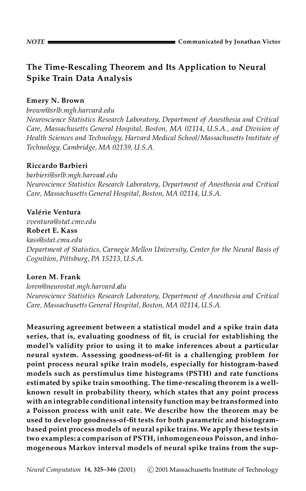# **The Time-Rescaling Theorem and Its Application to Neural Spike Train Data Analysis**

# **Emery N. Brown**

*brown@srlb.mgh.harvard.edu*

*Neuroscience Statistics Research Laboratory, Department of Anesthesia and Critical Care, Massachusetts General Hospital, Boston, MA 02114, U.S.A., and Division of Health Sciences and Technology, Harvard Medical School*/*Massachusetts Institute of Technology, Cambridge, MA 02139, U.S.A.*

# **Riccardo Barbieri**

*barbieri@srlb.mgh.harvard.edu Neuroscience Statistics Research Laboratory, Department of Anesthesia and Critical Care, Massachusetts General Hospital, Boston, MA 02114, U.S.A.*

## **Valerie Â Ventura**

*vventura@stat.cmv.edu*

# **Robert E. Kass**

*kass@stat.cmu.edu*

*Department of Statistics, Carnegie Mellon University, Center for the Neural Basis of Cognition, Pittsburg, PA 15213, U.S.A.*

## **Loren M. Frank**

*loren@neurostat.mgh.harvard.edu*

*Neuroscience Statistics Research Laboratory, Department of Anesthesia and Critical Care, Massachusetts General Hospital, Boston, MA 02114, U.S.A.*

**Measuring agreement between a statistical model and a spike train data series, that is, evaluating goodness of t, is crucial for establishing the model's validity prior to using it to make inferences about a particular neural system. Assessing goodness-of-t is a challenging problem for point process neural spike train models, especially for histogram-based models such as perstimulus time histograms (PSTH) and rate functions estimated by spike train smoothing. The time-rescaling theorem is a wellknown result in probability theory, which states that any point process with an integrable conditional intensityfunction may be transformed into a Poisson process with unit rate. We describe how the theorem may be used to develop goodness-of-t tests for both parametric and histogram based point process models of neural spike trains. We apply these tests in two examples: a comparison of PSTH, inhomogeneous Poisson, and inhomogeneous Markov interval models of neural spike trains from the sup-**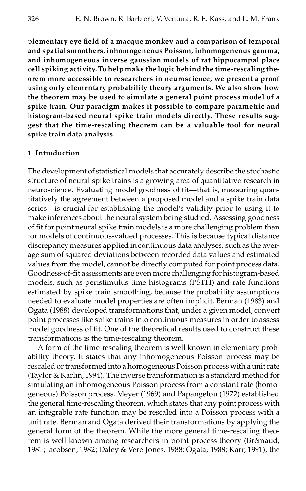**plementary eye eld of a macque monkey and a comparison of temporal and spatial smoothers, inhomogeneous Poisson, inhomogeneous gamma, and inhomogeneous inverse gaussian models of rat hippocampal place cell spiking activity.To help make the logic behind the time-rescaling the orem more accessible to researchers in neuroscience, we present a proof using only elementary probability theory arguments. We also show how the theorem may be used to simulate a general point process model of a spike train. Our paradigm makes it possible to compare parametric and histogram-based neural spike train models directly. These results suggest that the time-rescaling theorem can be a valuable tool for neural spike train data analysis.**

#### **1 Introduction**

The development of statistical models that accurately describe the stochastic structure of neural spike trains is a growing area of quantitative research in neuroscience. Evaluating model goodness of fit-that is, measuring quantitatively the agreement between a proposed model and a spike train data series—is crucial for establishing the model's validity prior to using it to make inferences about the neural system being studied. Assessing goodness of fit for point neural spike train models is a more challenging problem than for models of continuous-valued processes. This is because typical distance discrepancy measures applied in continuous data analyses, such as the average sum of squared deviations between recorded data values and estimated values from the model, cannot be directly computed for point process data. Goodness-of-fit assessments are even more challenging for histogram-based models, such as peristimulus time histograms (PSTH) and rate functions estimated by spike train smoothing, because the probability assumptions needed to evaluate model properties are often implicit. Berman (1983) and Ogata (1988) developed transformations that, under a given model, convert point processes like spike trains into continuous measures in order to assess model goodness of fit. One of the theoretical results used to construct these transformations is the time-rescaling theorem.

A form of the time-rescaling theorem is well known in elementary probability theory. It states that any inhomogeneous Poisson process may be rescaled or transformed into a homogeneous Poisson process with a unit rate (Taylor & Karlin, 1994). The inverse transformation is a standard method for simulating an inhomogeneous Poisson process from a constant rate (homogeneous) Poisson process. Meyer (1969) and Papangelou (1972) established the general time-rescaling theorem, which states that any point process with an integrable rate function may be rescaled into a Poisson process with a unit rate. Berman and Ogata derived their transformations by applying the general form of the theorem. While the more general time-rescaling theorem is well known among researchers in point process theory (Brémaud, 1981; Jacobsen, 1982; Daley & Vere-Jones, 1988; Ogata, 1988; Karr, 1991), the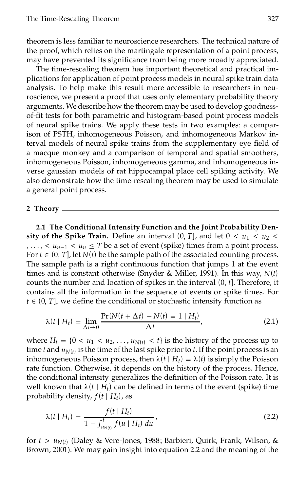theorem is less familiar to neuroscience researchers. The technical nature of the proof, which relies on the martingale representation of a point process, may have prevented its significance from being more broadly appreciated.

The time-rescaling theorem has important theoretical and practical implications for application of point process models in neural spike train data analysis. To help make this result more accessible to researchers in neuroscience, we present a proof that uses only elementary probability theory arguments. We describe how the theorem may be used to develop goodnessof-fit tests for both parametric and histogram-based point process models of neural spike trains. We apply these tests in two examples: a comparison of PSTH, inhomogeneous Poisson, and inhomogeneous Markov interval models of neural spike trains from the supplementary eye field of a macque monkey and a comparison of temporal and spatial smoothers, inhomogeneous Poisson, inhomogeneous gamma, and inhomogeneous inverse gaussian models of rat hippocampal place cell spiking activity. We also demonstrate how the time-rescaling theorem may be used to simulate a general point process.

#### **2 Theory**

**2.1 The Conditional Intensity Function and the Joint Probability Density** of the Spike Train. Define an interval  $(0, T]$ , and let  $0 < u_1 < u_2 <$  $, \ldots, \langle u_{n-1} \rangle \langle u_n \rangle \leq T$  be a set of event (spike) times from a point process. For  $t \in (0, T]$ , let  $N(t)$  be the sample path of the associated counting process. The sample path is a right continuous function that jumps 1 at the event times and is constant otherwise (Snyder & Miller, 1991). In this way, *N*(*t*) counts the number and location of spikes in the interval (0, *t*]. Therefore, it contains all the information in the sequence of events or spike times. For  $t \in (0, T]$ , we define the conditional or stochastic intensity function as

$$
\lambda(t \mid H_t) = \lim_{\Delta t \to 0} \frac{\Pr(N(t + \Delta t) - N(t) = 1 \mid H_t)}{\Delta t},\tag{2.1}
$$

where  $H_t = \{0 < u_1 < u_2, \ldots, u_{N(t)} < t\}$  is the history of the process up to time  $t$  and  $u_{N(t)}$  is the time of the last spike prior to  $t$ . If the point process is an inhomogeneous Poisson process, then  $\lambda(t | H_t) = \lambda(t)$  is simply the Poisson rate function. Otherwise, it depends on the history of the process. Hence, the conditional intensity generalizes the definition of the Poisson rate. It is well known that  $\lambda(t | H_t)$  can be defined in terms of the event (spike) time probability density,  $f(t | H_t)$ , as

$$
\lambda(t \mid H_t) = \frac{f(t \mid H_t)}{1 - \int_{u_{N(t)}}^t f(u \mid H_t) \ du},
$$
\n(2.2)

for *t* > *uN*(*t*) (Daley & Vere-Jones, 1988; Barbieri, Quirk, Frank, Wilson, & Brown, 2001). We may gain insight into equation 2.2 and the meaning of the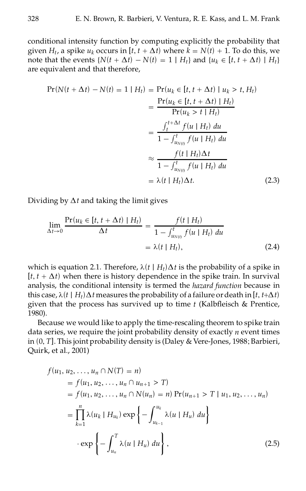conditional intensity function by computing explicitly the probability that given *H*<sub>t</sub>, a spike  $u_k$  occurs in [ $t$ ,  $t + \Delta t$ ) where  $k = N(t) + 1$ . To do this, we note that the events  $\{N(t + \Delta t) - N(t) = 1 \mid H_t\}$  and  $\{u_k \in [t, t + \Delta t) \mid H_t\}$ are equivalent and that therefore,

$$
Pr(N(t + \Delta t) - N(t) = 1 | H_t) = Pr(u_k \in [t, t + \Delta t) | u_k > t, H_t)
$$
  

$$
= \frac{Pr(u_k \in [t, t + \Delta t) | H_t)}{Pr(u_k > t | H_t)}
$$
  

$$
= \frac{\int_t^{t + \Delta t} f(u | H_t) du}{1 - \int_{u_{N(t)}}^t f(u | H_t) du}
$$
  

$$
\approx \frac{f(t | H_t) \Delta t}{1 - \int_{u_{N(t)}}^t f(u | H_t) du}
$$
  

$$
= \lambda (t | H_t) \Delta t.
$$
 (2.3)

Dividing by  $\Delta t$  and taking the limit gives

$$
\lim_{\Delta t \to 0} \frac{\Pr(u_k \in [t, t + \Delta t) \mid H_t)}{\Delta t} = \frac{f(t \mid H_t)}{1 - \int_{u_{N(t)}}^t f(u \mid H_t) du}
$$

$$
= \lambda(t \mid H_t), \tag{2.4}
$$

which is equation 2.1. Therefore,  $\lambda(t | H_t) \Delta t$  is the probability of a spike in  $[t, t + \Delta t]$  when there is history dependence in the spike train. In survival analysis, the conditional intensity is termed the *hazard function* because in this case,  $\lambda(t | H_t) \Delta t$  measures the probability of a failure ordeath in [*t*, *t*+ $\Delta t$ ) given that the process has survived up to time  $t$  (Kalbfleisch  $\&$  Prentice, 1980).

Because we would like to apply the time-rescaling theorem to spike train data series, we require the joint probability density of exactly *n* event times in (0, *T*]. This joint probability density is (Daley & Vere-Jones, 1988; Barbieri, Quirk, et al., 2001)

$$
f(u_1, u_2, ..., u_n \cap N(T) = n)
$$
  
=  $f(u_1, u_2, ..., u_n \cap u_{n+1} > T)$   
=  $f(u_1, u_2, ..., u_n \cap N(u_n) = n) \Pr(u_{n+1} > T | u_1, u_2, ..., u_n)$   
= 
$$
\prod_{k=1}^{n} \lambda(u_k | H_{u_k}) \exp \left\{-\int_{u_{k-1}}^{u_k} \lambda(u | H_u) du\right\}
$$
  

$$
\cdot \exp \left\{-\int_{u_n}^{T} \lambda(u | H_u) du\right\},
$$
 (2.5)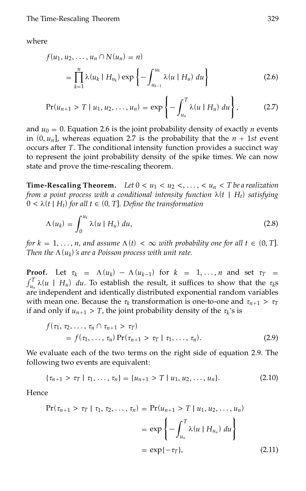where

$$
f(u_1, u_2, \dots, u_n \cap N(u_n) = n)
$$
  
= 
$$
\prod_{k=1}^n \lambda(u_k \mid H_{u_k}) \exp \left\{-\int_{u_{k-1}}^{u_k} \lambda(u \mid H_u) \ du\right\}
$$
 (2.6)

$$
\Pr(u_{n+1} > T \mid u_1, u_2, \dots, u_n) = \exp\left\{-\int_{u_n}^T \lambda(u \mid H_u) \ du\right\},\tag{2.7}
$$

and  $u_0 = 0$ . Equation 2.6 is the joint probability density of exactly *n* events in  $(0, u_n]$ , whereas equation 2.7 is the probability that the  $n + 1st$  event occurs after *T*. The conditional intensity function provides a succinct way to represent the joint probability density of the spike times. We can now state and prove the time-rescaling theorem.

**Time-Rescaling Theorem.** Let  $0 < u_1 < u_2 < \ldots < u_n < T$  be a realization *from a point process with a conditional intensity function*  $\lambda(t | H_t)$  *satisfying*  $0 < \lambda(t | H_t)$  for all  $t \in (0, T]$ . Define the transformation

$$
\Lambda(u_k) = \int_0^{u_k} \lambda(u \mid H_u) \, du,\tag{2.8}
$$

for  $k = 1, ..., n$ , and assume  $\Lambda(t) < \infty$  with probability one for all  $t \in (0, T]$ .<br>Then the  $\Lambda(u_k)$ 's are a Poisson process with unit rate.

**Proof.** Let  $\tau_k = \Lambda(u_k) - \Lambda(u_{k-1})$  for  $k = 1, \ldots, n$  and set  $\tau_T =$  $\int_{u_n}^{u_n} \lambda(u \mid H_u) du$ . To establish the result, it suffices to show that the  $\tau_k$ s are independent and identically distributed exponential random variables with mean one. Because the  $\tau_k$  transformation is one-to-one and  $\tau_{n+1} > \tau_T$ if and only if  $u_{n+1} > T$ , the joint probability density of the  $\tau_k$ 's is

$$
f(\tau_1, \tau_2, \dots, \tau_n \cap \tau_{n+1} > \tau_T)
$$
  
=  $f(\tau_1, \dots, \tau_n) \Pr(\tau_{n+1} > \tau_T | \tau_1, \dots, \tau_n).$  (2.9)

We evaluate each of the two terms on the right side of equation 2.9. The following two events are equivalent:

$$
\{\tau_{n+1} > \tau_T \mid \tau_1, \ldots, \tau_n\} = \{u_{n+1} > T \mid u_1, u_2, \ldots, u_n\}.
$$
 (2.10)

Hence

$$
\Pr(\tau_{n+1} > \tau_T | \tau_1, \tau_2, \dots, \tau_n) = \Pr(u_{n+1} > T | u_1, u_2, \dots, u_n)
$$
  
= 
$$
\exp\left\{-\int_{u_n}^T \lambda(u | H_{u_n}) du\right\}
$$
  
= 
$$
\exp\{-\tau_T\},
$$
 (2.11)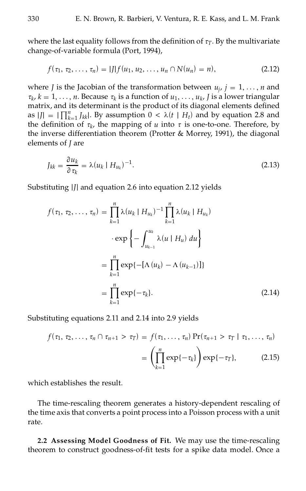where the last equality follows from the definition of  $\tau_T$ . By the multivariate change-of-variable formula (Port, 1994),

$$
f(\tau_1, \tau_2, \dots, \tau_n) = |J| f(u_1, u_2, \dots, u_n \cap N(u_n) = n), \qquad (2.12)
$$

where *J* is the Jacobian of the transformation between  $u_j$ ,  $j = 1, \dots, n$  and  $\tau_k$ ,  $k = 1, \ldots, n$ . Because  $\tau_k$  is a function of  $u_1, \ldots, u_k$ , *J* is a lower triangular matrix, and its determinant is the product of its diagonal elements defined as  $|J| = |\prod_{k=1}^{n} J_{kk}|$ . By assumption  $0 < \lambda(t | H_t)$  and by equation 2.8 and the definition of  $\tau_k$ , the mapping of *u* into  $\tau$  is one-to-one. Therefore, by the inverse differentiation theorem (Protter & Morrey, 1991), the diagonal elements of *J* are

$$
J_{kk} = \frac{\partial u_k}{\partial \tau_k} = \lambda (u_k \mid H_{u_k})^{-1}.
$$
\n(2.13)

Substituting |*J*| and equation 2.6 into equation 2.12 yields

$$
f(\tau_1, \tau_2, ..., \tau_n) = \prod_{k=1}^n \lambda(u_k | H_{u_k})^{-1} \prod_{k=1}^n \lambda(u_k | H_{u_k})
$$
  
\n
$$
\cdot \exp \left\{ - \int_{u_{k-1}}^{u_k} \lambda(u | H_u) du \right\}
$$
  
\n
$$
= \prod_{k=1}^n \exp \{ -[\Lambda(u_k) - \Lambda(u_{k-1})] \}
$$
  
\n
$$
= \prod_{k=1}^n \exp \{ -\tau_k \}.
$$
 (2.14)

Substituting equations 2.11 and 2.14 into 2.9 yields

$$
f(\tau_1, \tau_2, \dots, \tau_n \cap \tau_{n+1} > \tau_T) = f(\tau_1, \dots, \tau_n) \Pr(\tau_{n+1} > \tau_T \mid \tau_1, \dots, \tau_n)
$$

$$
= \left(\prod_{k=1}^n \exp\{-\tau_k\}\right) \exp\{-\tau_T\}, \tag{2.15}
$$

which establishes the result.

The time-rescaling theorem generates a history-dependent rescaling of the time axis that converts a point process into a Poisson process with a unit rate.

**2.2 Assessing Model Goodness of Fit.** We may use the time-rescaling theorem to construct goodness-of-fit tests for a spike data model. Once a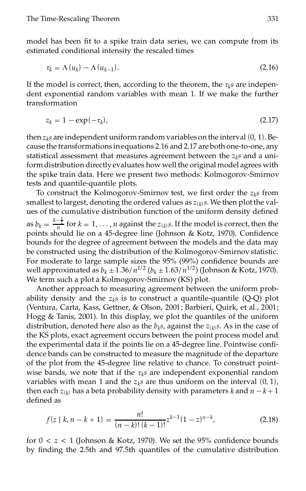model has been fit to a spike train data series, we can compute from its estimated conditional intensity the rescaled times

$$
\tau_k = \Lambda(u_k) - \Lambda(u_{k-1}).\tag{2.16}
$$

If the model is correct, then, according to the theorem, the  $\tau_k s$  are independent exponential random variables with mean 1. If we make the further transformation

$$
z_k = 1 - \exp(-\tau_k),\tag{2.17}
$$

then  $z_k$ *s* are independent uniform random variables on the interval  $(0, 1)$ . Because the transformations inequations 2.16 and 2.17 are both one-to-one, any statistical assessment that measures agreement between the *zks* and a uniform distribution directly evaluates how well the original model agrees with the spike train data. Here we present two methods: Kolmogorov-Smirnov tests and quantile-quantile plots.

To construct the Kolmogorov-Smirnov test, we first order the  $z_k s$  from smallest to largest, denoting the ordered values as  $z_{(k)}s$ . We then plot the values of the cumulative distribution function of the uniform density defined as  $b_k = \frac{k-\frac{1}{2}}{n}$  for  $k = 1, ..., n$  against the *z*( $k$ )*s*. If the model is correct, then the points should lie on a 45-degree line (Johnson & Kotz, 1970). Confidence bounds for the degree of agreement between the models and the data may be constructed using the distribution of the Kolmogorov-Smirnov statistic. For moderate to large sample sizes the 95% (99%) confidence bounds are well approximated as  $b_k \pm 1.36/n^{1/2}$  ( $b_k \pm 1.63/n^{1/2}$ ) (Johnson & Kotz, 1970). We term such a plot a Kolmogorov-Smirnov (KS) plot.

Another approach to measuring agreement between the uniform probability density and the  $z_k s$  is to construct a quantile-quantile  $(Q-Q)$  plot (Ventura, Carta, Kass, Gettner, & Olson, 2001; Barbieri, Quirk, et al., 2001; Hogg & Tanis, 2001). In this display, we plot the quantiles of the uniform distribution, denoted here also as the  $b_k s$ , against the  $z_{(k)} s$ . As in the case of the KS plots, exact agreement occurs between the point process model and the experimental data if the points lie on a 45-degree line. Pointwise confidence bands can be constructed to measure the magnitude of the departure of the plot from the 45-degree line relative to chance. To construct pointwise bands, we note that if the  $\tau_k s$  are independent exponential random variables with mean 1 and the  $z_k$ *s* are thus uniform on the interval  $(0, 1)$ , then each  $z_{(k)}$  has a beta probability density with parameters *k* and  $n - k + 1$ defined as

$$
f(z \mid k, n - k + 1) = \frac{n!}{(n - k)!(k - 1)!} z^{k - 1}(1 - z)^{n - k},
$$
\n(2.18)

for  $0 < z < 1$  (Johnson & Kotz, 1970). We set the 95% confidence bounds by finding the 2.5th and 97.5th quantiles of the cumulative distribution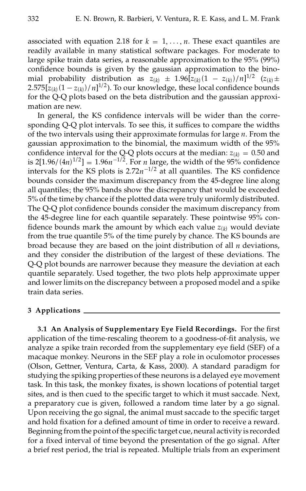associated with equation 2.18 for  $k = 1, \ldots, n$ . These exact quantiles are readily available in many statistical software packages. For moderate to large spike train data series, a reasonable approximation to the 95% (99%) confidence bounds is given by the gaussian approximation to the binomial probability distribution as  $z_{(k)} \pm 1.96[z_{(k)}(1 - z_{(k)})/n]^{1/2}$   $(z_{(k)} \pm 1.96[z_{(k)}(1 - z_{(k)})/n]^{1/2}$  $2.575[z_{(k)}(1-z_{(k)})/n]^{1/2}$ ). To our knowledge, these local confidence bounds for the Q-Q plots based on the beta distribution and the gaussian approximation are new.

In general, the KS confidence intervals will be wider than the corresponding Q-Q plot intervals. To see this, it suffices to compare the widths of the two intervals using their approximate formulas for large *n*. From the gaussian approximation to the binomial, the maximum width of the 95% confidence interval for the Q-Q plots occurs at the median:  $z_{(k)} = 0.50$  and is  $2[1.96/(4n)^{1/2}] = 1.96n^{-1/2}$ . For *n* large, the width of the 95% confidence intervals for the KS plots is  $2.72n^{-1/2}$  at all quantiles. The KS confidence bounds consider the maximum discrepancy from the 45-degree line along all quantiles; the 95% bands show the discrepancy that would be exceeded 5% of the time by chance if the plotted data were truly uniformly distributed. The Q-Q plot confidence bounds consider the maximum discrepancy from the 45-degree line for each quantile separately. These pointwise 95% con fidence bounds mark the amount by which each value  $z_{(k)}$  would deviate from the true quantile 5% of the time purely by chance. The KS bounds are broad because they are based on the joint distribution of all *n* deviations, and they consider the distribution of the largest of these deviations. The Q-Q plot bounds are narrower because they measure the deviation at each quantile separately. Used together, the two plots help approximate upper and lower limits on the discrepancy between a proposed model and a spike train data series.

#### **3 Applications**

**3.1 An Analysis of Supplementary Eye Field Recordings.** For the first application of the time-rescaling theorem to a goodness-of-fit analysis, we analyze a spike train recorded from the supplementary eye field (SEF) of a macaque monkey. Neurons in the SEF play a role in oculomotor processes (Olson, Gettner, Ventura, Carta, & Kass, 2000). A standard paradigm for studying the spiking propertiesof these neurons is a delayed eye movement task. In this task, the monkey fixates, is shown locations of potential target sites, and is then cued to the specific target to which it must saccade. Next, a preparatory cue is given, followed a random time later by a go signal. Upon receiving the go signal, the animal must saccade to the specific target and hold fixation for a defined amount of time in order to receive a reward. Beginning from the point of the specific target cue, neural activity is recorded for a fixed interval of time beyond the presentation of the go signal. After a brief rest period, the trial is repeated. Multiple trials from an experiment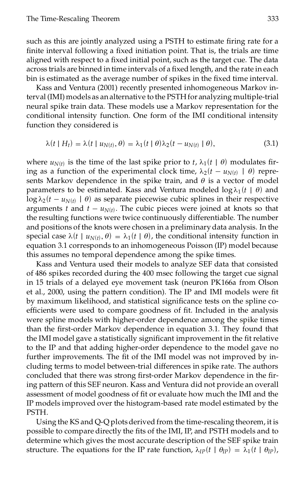such as this are jointly analyzed using a PSTH to estimate firing rate for a finite interval following a fixed initiation point. That is, the trials are time aligned with respect to a fixed initial point, such as the target cue. The data across trials are binned in time intervals of a fixed length, and the rate in each bin is estimated as the average number of spikes in the fixed time interval.

Kass and Ventura (2001) recently presented inhomogeneous Markov interval (IMI) models as an alternative to the PSTH foranalyzing multiple-trial neural spike train data. These models use a Markov representation for the conditional intensity function. One form of the IMI conditional intensity function they considered is

$$
\lambda(t \mid H_t) = \lambda(t \mid u_{N(t)}, \theta) = \lambda_1(t \mid \theta) \lambda_2(t - u_{N(t)} \mid \theta), \tag{3.1}
$$

where  $u_{N(t)}$  is the time of the last spike prior to *t*,  $\lambda_1(t | \theta)$  modulates firing as a function of the experimental clock time,  $\lambda_2(t - u_{N(t)} | \theta)$  represents Markov dependence in the spike train, and  $\theta$  is a vector of model parameters to be estimated. Kass and Ventura modeled  $\log \lambda_1(t \mid \theta)$  and log  $\lambda_2(t - u_{N(t)} | \theta)$  as separate piecewise cubic splines in their respective arguments *t* and  $t - u_{N(t)}$ . The cubic pieces were joined at knots so that the resulting functions were twice continuously differentiable. The number and positions of the knots were chosen in a preliminarydata analysis. In the special case  $\lambda(t \mid u_{N(t)}, \theta) = \lambda_1(t \mid \theta)$ , the conditional intensity function in equation 3.1 corresponds to an inhomogeneous Poisson (IP) model because this assumes no temporal dependence among the spike times.

Kass and Ventura used their models to analyze SEF data that consisted of 486 spikes recorded during the 400 msec following the target cue signal in 15 trials of a delayed eye movement task (neuron PK166a from Olson et al., 2000, using the pattern condition). The IP and IMI models were fit by maximum likelihood, and statistical significance tests on the spline coefficients were used to compare goodness of fit. Included in the analysis were spline models with higher-order dependence among the spike times than the first-order Markov dependence in equation 3.1. They found that the IMI model gave a statistically significant improvement in the fit relative to the IP and that adding higher-order dependence to the model gave no further improvements. The fit of the IMI model was not improved by including terms to model between-trial differences in spike rate. The authors concluded that there was strong first-order Markov dependence in the firing pattern of this SEF neuron. Kass and Ventura did not provide an overall assessment of model goodness of fit or evaluate how much the IMI and the IP models improved over the histogram-based rate model estimated by the PSTH.

Using the KS and Q-Q plotsderived from the time-rescaling theorem, it is possible to compare directly the fits of the IMI, IP, and PSTH models and to determine which gives the most accurate description of the SEF spike train structure. The equations for the IP rate function,  $\lambda_{IP}(t | \theta_{IP}) = \lambda_1(t | \theta_{IP})$ ,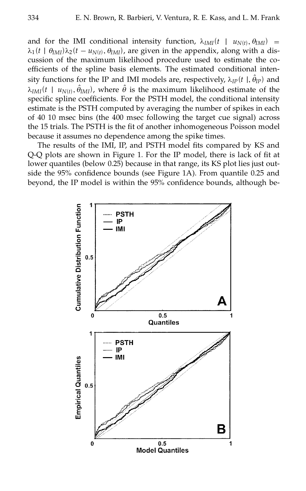and for the IMI conditional intensity function,  $\lambda_{IMI}(t | u_{N(t)}, \theta_{IMI})$  $\lambda_1(t \mid \theta_{IMI})\lambda_2(t - u_{N(t)}, \theta_{IMI})$ , are given in the appendix, along with a discussion of the maximum likelihood procedure used to estimate the coefficients of the spline basis elements. The estimated conditional intensity functions for the IP and IMI models are, respectively,  $\lambda_{IP}(t \, |, \theta_{IP})$  and  $\lambda_{IMI}(t \mid u_{N(t)}, \theta_{IMI})$ , where  $\theta$  is the maximum likelihood estimate of the specific spline coefficients. For the PSTH model, the conditional intensity estimate is the PSTH computed by averaging the number of spikes in each of 40 10 msec bins (the 400 msec following the target cue signal) across the 15 trials. The PSTH is the fit of another inhomogeneous Poisson model because it assumes no dependence among the spike times.

The results of the IMI, IP, and PSTH model fits compared by KS and  $O-O$  plots are shown in Figure 1. For the IP model, there is lack of fit at lower quantiles (below 0.25) because in that range, its KS plot lies just outside the  $95\%$  confidence bounds (see Figure 1A). From quantile 0.25 and beyond, the IP model is within the 95% confidence bounds, although be-

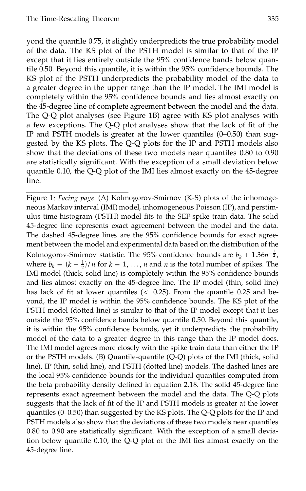yond the quantile 0.75, it slightly underpredicts the true probability model of the data. The KS plot of the PSTH model is similar to that of the IP except that it lies entirely outside the 95% confidence bands below quantile 0.50. Beyond this quantile, it is within the 95% confidence bounds. The KS plot of the PSTH underpredicts the probability model of the data to a greater degree in the upper range than the IP model. The IMI model is completely within the 95% confidence bounds and lies almost exactly on the 45-degree line of complete agreement between the model and the data. The Q-Q plot analyses (see Figure 1B) agree with KS plot analyses with a few exceptions. The O-O plot analyses show that the lack of fit of the IP and PSTH models is greater at the lower quantiles (0–0.50) than suggested by the KS plots. The Q-Q plots for the IP and PSTH models also show that the deviations of these two models near quantiles 0.80 to 0.90 are statistically significant. With the exception of a small deviation below quantile 0.10, the Q-Q plot of the IMI lies almost exactly on the 45-degree line.

Figure 1: *Facing page.* (A) Kolmogorov-Smirnov (K-S) plots of the inhomoge neous Markov interval (IMI) model, inhomogeneous Poisson (IP), and perstimulus time histogram (PSTH) model fits to the SEF spike train data. The solid 45-degree line represents exact agreement between the model and the data. The dashed 45-degree lines are the 95% confidence bounds for exact agreement between the model and experimental data based on the distribution of the Kolmogorov-Smirnov statistic. The 95% confidence bounds are  $b_k \pm 1.36n^{-\frac{1}{2}}$ , where  $b_k = (k - \frac{1}{2})/n$  for  $k = 1, ..., n$  and *n* is the total number of spikes. The IMI model (thick, solid line) is completely within the 95% confidence bounds and lies almost exactly on the 45-degree line. The IP model (thin, solid line) has lack of fit at lower quantiles  $( $0.25$ ). From the quantile 0.25 and be$ yond, the IP model is within the 95% confidence bounds. The KS plot of the PSTH model (dotted line) is similar to that of the IP model except that it lies outside the 95% confidence bands below quantile 0.50. Beyond this quantile, it is within the 95% confidence bounds, yet it underpredicts the probability model of the data to a greater degree in this range than the IP model does. The IMI model agrees more closely with the spike train data than either the IP or the PSTH models. (B) Quantile-quantile (Q-Q) plots of the IMI (thick, solid line), IP (thin, solid line), and PSTH (dotted line) models. The dashed lines are the local 95% confidence bounds for the individual quantiles computed from the beta probability density defined in equation 2.18. The solid 45-degree line represents exact agreement between the model and the data. The Q-Q plots suggests that the lack of fit of the IP and PSTH models is greater at the lower quantiles (0–0.50) than suggested by the KS plots. The Q-Q plots for the IP and PSTH models also show that the deviations of these two models near quantiles 0.80 to 0.90 are statistically significant. With the exception of a small deviation below quantile 0.10, the Q-Q plot of the IMI lies almost exactly on the 45-degree line.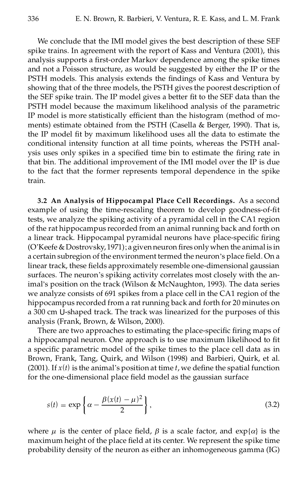We conclude that the IMI model gives the best description of these SEF spike trains. In agreement with the report of Kass and Ventura (2001), this analysis supports a first-order Markov dependence among the spike times and not a Poisson structure, as would be suggested by either the IP or the PSTH models. This analysis extends the findings of Kass and Ventura by showing that of the three models, the PSTH gives the poorest description of the SEF spike train. The IP model gives a better fit to the SEF data than the PSTH model because the maximum likelihood analysis of the parametric IP model is more statistically efficient than the histogram (method of moments) estimate obtained from the PSTH (Casella & Berger, 1990). That is, the IP model fit by maximum likelihood uses all the data to estimate the conditional intensity function at all time points, whereas the PSTH analysis uses only spikes in a specified time bin to estimate the firing rate in that bin. The additional improvement of the IMI model over the IP is due to the fact that the former represents temporal dependence in the spike train.

**3.2 An Analysis of Hippocampal Place Cell Recordings.** As a second example of using the time-rescaling theorem to develop goodness-of-fit tests, we analyze the spiking activity of a pyramidal cell in the CA1 region of the rat hippocampus recorded from an animal running back and forth on a linear track. Hippocampal pyramidal neurons have place-specific firing (O'Keefe & Dostrovsky, 1971); a given neuron fires only when the animal is in a certain subregion of the environment termed the neuron's place field. On a linear track, these fields approximately resemble one-dimensional gaussian surfaces. The neuron's spiking activity correlates most closely with the animal's position on the track (Wilson & McNaughton, 1993). The data series we analyze consists of 691 spikes from a place cell in the CA1 region of the hippocampus recorded from a rat running back and forth for 20 minutes on a 300 cm U-shaped track. The track was linearized for the purposes of this analysis (Frank, Brown, & Wilson, 2000).

There are two approaches to estimating the place-specific firing maps of a hippocampal neuron. One approach is to use maximum likelihood to fit a specific parametric model of the spike times to the place cell data as in Brown, Frank, Tang, Quirk, and Wilson (1998) and Barbieri, Quirk, et al. (2001). If  $x(t)$  is the animal's position at time  $t$ , we define the spatial function for the one-dimensional place field model as the gaussian surface

$$
s(t) = \exp\left\{\alpha - \frac{\beta(x(t) - \mu)^2}{2}\right\},\tag{3.2}
$$

where  $\mu$  is the center of place field,  $\beta$  is a scale factor, and exp{ $\alpha$ } is the maximum height of the place field at its center. We represent the spike time probability density of the neuron as either an inhomogeneous gamma (IG)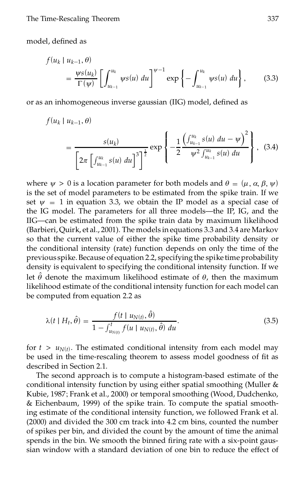model, defined as

$$
f(u_k | u_{k-1}, \theta)
$$
  
=  $\frac{\psi s(u_k)}{\Gamma(\psi)} \left[ \int_{u_{k-1}}^{u_k} \psi s(u) \ du \right]^{\psi^{-1}} \exp \left\{ - \int_{u_{k-1}}^{u_k} \psi s(u) \ du \right\},$  (3.3)

or as an inhomogeneous inverse gaussian (IIG) model, defined as

$$
f(u_k | u_{k-1}, \theta)
$$
  
= 
$$
\frac{s(u_k)}{\left[2\pi \left[\int_{u_{k-1}}^{u_k} s(u) du\right]^3\right]^{\frac{1}{2}}} \exp\left\{-\frac{1}{2} \frac{\left(\int_{u_{k-1}}^{u_k} s(u) du - \psi\right)^2}{\psi^2 \int_{u_{k-1}}^{u_k} s(u) du}\right\}, (3.4)
$$

where  $\psi > 0$  is a location parameter for both models and  $\theta = (\mu, \alpha, \beta, \psi)$ is the set of model parameters to be estimated from the spike train. If we set  $\psi = 1$  in equation 3.3, we obtain the IP model as a special case of the IG model. The parameters for all three models—the IP, IG, and the IIG—can be estimated from the spike train data by maximum likelihood (Barbieri, Quirk, et al., 2001). The models in equations 3.3 and 3.4 are Markov so that the current value of either the spike time probability density or the conditional intensity (rate) function depends on only the time of the previous spike. Because of equation 2.2, specifying the spike time probability density is equivalent to specifying the conditional intensity function. If we let  $\hat{\theta}$  denote the maximum likelihood estimate of  $\theta$ , then the maximum likelihood estimate of the conditional intensity function for each model can be computed from equation 2.2 as

$$
\lambda(t \mid H_t, \hat{\theta}) = \frac{f(t \mid u_{N(t)}, \hat{\theta})}{1 - \int_{u_{N(t)}}^t f(u \mid u_{N(t)}, \hat{\theta}) du}.
$$
\n(3.5)

for  $t > u_{N(t)}$ . The estimated conditional intensity from each model may be used in the time-rescaling theorem to assess model goodness of fit as described in Section 2.1.

The second approach is to compute a histogram-based estimate of the conditional intensity function by using either spatial smoothing (Muller & Kubie, 1987; Frank et al., 2000) or temporal smoothing (Wood, Dudchenko, & Eichenbaum, 1999) of the spike train. To compute the spatial smoothing estimate of the conditional intensity function, we followed Frank et al. (2000) and divided the 300 cm track into 4.2 cm bins, counted the number of spikes per bin, and divided the count by the amount of time the animal spends in the bin. We smooth the binned firing rate with a six-point gaussian window with a standard deviation of one bin to reduce the effect of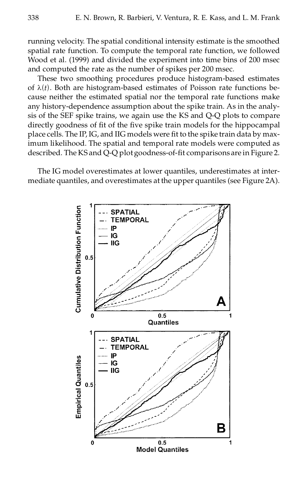running velocity. The spatial conditional intensity estimate is the smoothed spatial rate function. To compute the temporal rate function, we followed Wood et al. (1999) and divided the experiment into time bins of 200 msec and computed the rate as the number of spikes per 200 msec.

These two smoothing procedures produce histogram-based estimates of  $\lambda(t)$ . Both are histogram-based estimates of Poisson rate functions because neither the estimated spatial nor the temporal rate functions make any history-dependence assumption about the spike train. As in the analysis of the SEF spike trains, we again use the KS and Q-Q plots to compare directly goodness of fit of the five spike train models for the hippocampal place cells. The IP, IG, and IIG models were fit to the spike train data by maximum likelihood. The spatial and temporal rate models were computed as described. The KS and Q-Q plot goodness-of-fit comparisons are in Figure 2.

The IG model overestimates at lower quantiles, underestimates at intermediate quantiles, and overestimates at the upper quantiles (see Figure 2A).

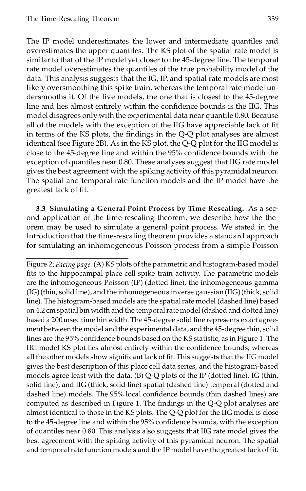The IP model underestimates the lower and intermediate quantiles and overestimates the upper quantiles. The KS plot of the spatial rate model is similar to that of the IP model yet closer to the 45-degree line. The temporal rate model overestimates the quantiles of the true probability model of the data. This analysis suggests that the IG, IP, and spatial rate models are most likely oversmoothing this spike train, whereas the temporal rate model un dersmooths it. Of the five models, the one that is closest to the 45-degree line and lies almost entirely within the confidence bounds is the IIG. This model disagrees only with the experimental data near quantile 0.80. Because all of the models with the exception of the IIG have appreciable lack of fit in terms of the KS plots, the findings in the Q-Q plot analyses are almost identical (see Figure 2B). As in the KS plot, the Q-Q plot for the IIG model is close to the 45-degree line and within the 95% confidence bounds with the

exception of quantiles near 0.80. These analyses suggest that IIG rate model gives the best agreement with the spiking activity of this pyramidal neuron. The spatial and temporal rate function models and the IP model have the greatest lack of fit.

**3.3 Simulating a General Point Process by Time Rescaling.** As a second application of the time-rescaling theorem, we describe how the theorem may be used to simulate a general point process. We stated in the Introduction that the time-rescaling theorem provides a standard approach for simulating an inhomogeneous Poisson process from a simple Poisson

Figure 2: *Facing page*. (A) KS plots of the parametric and histogram-based model fits to the hippocampal place cell spike train activity. The parametric models are the inhomogeneous Poisson (IP) (dotted line), the inhomogeneous gamma (IG)(thin, solid line), and the inhomogeneous inverse gaussian (IIG)(thick, solid line). The histogram-based models are the spatial rate model (dashed line) based on 4.2 cm spatial bin width and the temporal rate model (dashed and dotted line) based a 200msec time bin width. The 45-degree solid line represents exact agreement between the model and the experimental data, and the 45-degree thin, solid lines are the 95% confidence bounds based on the KS statistic, as in Figure 1. The IIG model KS plot lies almost entirely within the confidence bounds, whereas all the other models show significant lack of fit. This suggests that the IIG model gives the best description of this place cell data series, and the histogram-based models agree least with the data. (B) Q-Q plots of the IP (dotted line), IG (thin, solid line), and IIG (thick, solid line) spatial (dashed line) temporal (dotted and dashed line) models. The 95% local confidence bounds (thin dashed lines) are computed as described in Figure 1. The findings in the Q-Q plot analyses are almost identical to those in the KS plots. The Q-Q plot for the IIG model is close to the 45-degree line and within the 95% confidence bounds, with the exception of quantiles near 0.80. This analysis also suggests that IIG rate model gives the best agreement with the spiking activity of this pyramidal neuron. The spatial and temporal rate function models and the IP model have the greatest lack of fit.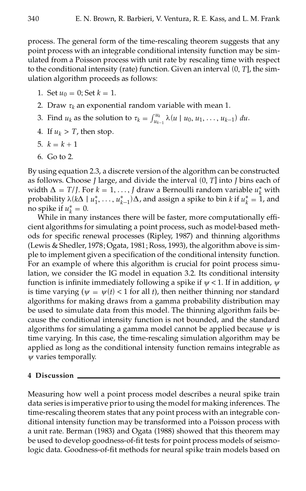process. The general form of the time-rescaling theorem suggests that any point process with an integrable conditional intensity function may be simulated from a Poisson process with unit rate by rescaling time with respect to the conditional intensity (rate) function. Given an interval (0, *T*], the simulation algorithm proceeds as follows:

- 1. Set  $u_0 = 0$ ; Set  $k = 1$ .
- 2. Draw  $\tau_k$  an exponential random variable with mean 1.
- 3. Find  $u_k$  as the solution to  $\tau_k = \int_{u_{k-1}}^{u_k} \lambda(u \mid u_0, u_1, \dots, u_{k-1}) du$ .
- 4. If  $u_k > T$ , then stop.
- 5.  $k = k + 1$
- 6. Go to 2.

By using equation 2.3, a discrete version of the algorithm can be constructed as follows. Choose *J* large, and divide the interval (0, *T*] into *J* bins each of width  $\Delta = T/J$ . For  $k = 1, ..., J$  draw a Bernoulli random variable  $u_k^*$  with probability  $\lambda$ ( $k\Delta \mid u_1^*, \ldots, u_{k-1}^* \rangle \Delta$ , and assign a spike to bin *k* if  $u_k^* = 1$ , and no spike if  $u_k^* = 0$ .

While in many instances there will be faster, more computationally efficient algorithms for simulating a point process, such as model-based methods for specific renewal processes (Ripley, 1987) and thinning algorithms (Lewis & Shedler, 1978; Ogata, 1981;Ross, 1993), the algorithm above is simple to implement given a specification of the conditional intensity function. For an example of where this algorithm is crucial for point process simulation, we consider the IG model in equation 3.2. Its conditional intensity function is infinite immediately following a spike if  $\psi$  < 1. If in addition,  $\psi$ is time varying ( $\psi = \psi(t) < 1$  for all *t*), then neither thinning nor standard algorithms for making draws from a gamma probability distribution may be used to simulate data from this model. The thinning algorithm fails because the conditional intensity function is not bounded, and the standard algorithms for simulating a gamma model cannot be applied because  $\psi$  is time varying. In this case, the time-rescaling simulation algorithm may be applied as long as the conditional intensity function remains integrable as *y* varies temporally.

## **4 Discussion**

Measuring how well a point process model describes a neural spike train data series is imperative prior to using the model for making inferences. The time-rescaling theorem states that any point process with an integrable conditional intensity function may be transformed into a Poisson process with a unit rate. Berman (1983) and Ogata (1988) showed that this theorem may be used to develop goodness-of-fit tests for point process models of seismologic data. Goodness-of-fit methods for neural spike train models based on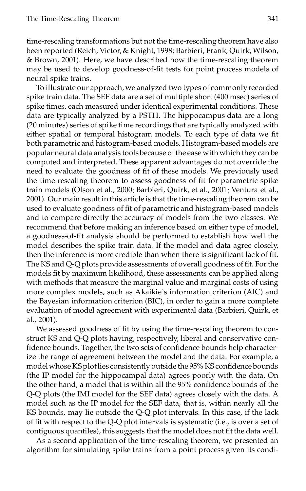time-rescaling transformations but not the time-rescaling theorem have also been reported (Reich, Victor,& Knight, 1998; Barbieri, Frank, Quirk, Wilson, & Brown, 2001). Here, we have described how the time-rescaling theorem may be used to develop goodness-of-fit tests for point process models of neural spike trains.

To illustrate our approach, we analyzed two types of commonlyrecorded spike train data. The SEF data are a set of multiple short (400 msec) series of spike times, each measured under identical experimental conditions. These data are typically analyzed by a PSTH. The hippocampus data are a long (20 minutes) series of spike time recordings that are typically analyzed with either spatial or temporal histogram models. To each type of data we fit both parametric and histogram-based models. Histogram-based models are popular neural data analysis tools because of the ease with which they can be computed and interpreted. These apparent advantages do not override the need to evaluate the goodness of fit of these models. We previously used the time-rescaling theorem to assess goodness of fit for parametric spike train models (Olson et al., 2000; Barbieri, Quirk, et al., 2001; Ventura et al., 2001). Our main result in this article is that the time-rescaling theorem can be used to evaluate goodness of fit of parametric and histogram-based models and to compare directly the accuracy of models from the two classes. We recommend that before making an inference based on either type of model, a goodness-of-fit analysis should be performed to establish how well the model describes the spike train data. If the model and data agree closely, then the inference is more credible than when there is significant lack of fit. The KS and O-O plots provide assessments of overall goodness of fit. For the models fit by maximum likelihood, these assessments can be applied along with methods that measure the marginal value and marginal costs of using more complex models, such as Akaikie's information criterion (AIC) and the Bayesian information criterion (BIC), in order to gain a more complete evaluation of model agreement with experimental data (Barbieri, Quirk, et al., 2001).

We assessed goodness of fit by using the time-rescaling theorem to construct KS and Q-Q plots having, respectively, liberal and conservative con fidence bounds. Together, the two sets of confidence bounds help characterize the range of agreement between the model and the data. For example, a model whose KS plot lies consistently outside the 95% KS confidence bounds (the IP model for the hippocampal data) agrees poorly with the data. On the other hand, a model that is within all the 95% confidence bounds of the Q-Q plots (the IMI model for the SEF data) agrees closely with the data. A model such as the IP model for the SEF data, that is, within nearly all the KS bounds, may lie outside the Q-Q plot intervals. In this case, if the lack of fit with respect to the Q-Q plot intervals is systematic (i.e., is over a set of contiguous quantiles), this suggests that the model does not fit the data well.

As a second application of the time-rescaling theorem, we presented an algorithm for simulating spike trains from a point process given its condi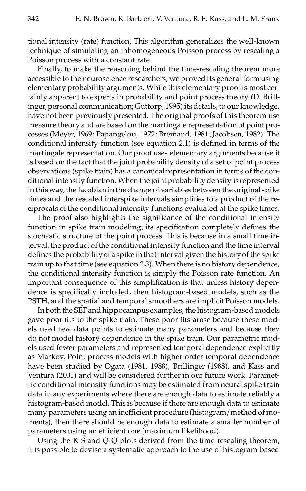tional intensity (rate) function. This algorithm generalizes the well-known technique of simulating an inhomogeneous Poisson process by rescaling a Poisson process with a constant rate.

Finally, to make the reasoning behind the time-rescaling theorem more accessible to the neuroscience researchers, we proved its general form using elementary probability arguments. While this elementary proof is most certainly apparent to experts in probability and point process theory (D. Brillinger, personal communication; Guttorp, 1995) itsdetails, to our knowledge, have not been previously presented. The original proofs of this theorem use measure theory and are based on the martingale representation of point processes (Meyer, 1969; Papangelou, 1972; Brémaud, 1981; Jacobsen, 1982). The conditional intensity function (see equation 2.1) is defined in terms of the martingale representation. Our proof uses elementary arguments because it is based on the fact that the joint probability density of a set of point process observations (spike train) has a canonical representation in terms of the conditional intensity function. When the joint probabilitydensity is represented in this way, the Jacobian in the change of variables between the original spike times and the rescaled interspike intervals simplifies to a product of the reciprocals of the conditional intensity functions evaluated at the spike times.

The proof also highlights the significance of the conditional intensity function in spike train modeling; its specification completely defines the stochastic structure of the point process. This is because in a small time interval, the product of the conditional intensity function and the time interval defines the probability of a spike in that interval given the history of the spike train up to that time (see equation 2.3). When there is no history dependence, the conditional intensity function is simply the Poisson rate function. An important consequence of this simplication is that unless history dependence is specifically included, then histogram-based models, such as the PSTH, and the spatial and temporal smoothers are implicit Poisson models.

In both the SEF and hippocampusexamples, the histogram-based models gave poor fits to the spike train. These poor fits arose because these models used few data points to estimate many parameters and because they do not model history dependence in the spike train. Our parametric models used fewer parameters and represented temporal dependence explicitly as Markov. Point process models with higher-order temporal dependence have been studied by Ogata (1981, 1988), Brillinger (1988), and Kass and Ventura (2001) and will be considered further in our future work. Parametric conditional intensity functions may be estimated from neural spike train data in any experiments where there are enough data to estimate reliably a histogram-based model. This is because if there are enough data to estimate many parameters using an inefficient procedure (histogram/method of moments), then there should be enough data to estimate a smaller number of parameters using an efficient one (maximum likelihood).

Using the K-S and Q-Q plots derived from the time-rescaling theorem, it is possible to devise a systematic approach to the use of histogram-based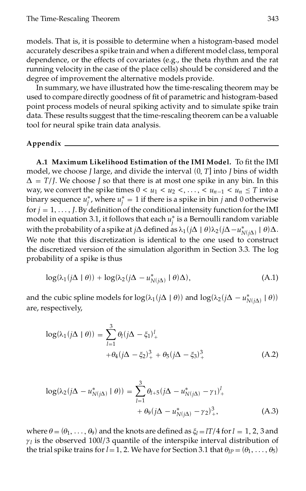models. That is, it is possible to determine when a histogram-based model accurately describes a spike train and when a different model class, temporal dependence, or the effects of covariates (e.g., the theta rhythm and the rat running velocity in the case of the place cells) should be considered and the degree of improvement the alternative models provide.

In summary, we have illustrated how the time-rescaling theorem may be used to compare directly goodness of fit of parametric and histogram-based point process models of neural spiking activity and to simulate spike train data. These results suggest that the time-rescaling theorem can be a valuable tool for neural spike train data analysis.

#### **Appendix**

A.1 Maximum Likelihood Estimation of the IMI Model. To fit the IMI model, we choose *J* large, and divide the interval (0, *T*] into *J* bins of width  $\Delta = T/J$ . We choose *J* so that there is at most one spike in any bin. In this way, we convert the spike times  $0 < u_1 < u_2 < \ldots < u_{n-1} < u_n \le T$  into a way, we convert the spike times  $0 < u_1 < u_2 < \ldots < u_{n-1} < u_n \le T$  into a binary sequence  $u_j^*$ , where  $u_j^* = 1$  if there is a spike in bin *j* and 0 otherwise for  $j = 1, \ldots, J$ . By definition of the conditional intensity function for the IMI model in equation 3.1, it follows that each  $u_j^*$  is a Bernoulli random variable with the probability of a spike at *j* $\Delta$  defined as  $\lambda_1 (j\Delta | \theta) \lambda_2 (j\Delta - u^*_{N(j\Delta)} | \theta) \Delta$ . We note that this discretization is identical to the one used to construct the discretized version of the simulation algorithm in Section 3.3. The log probability of a spike is thus

$$
\log(\lambda_1(j\Delta \mid \theta)) + \log(\lambda_2(j\Delta - u^*_{N(j\Delta)} \mid \theta)\Delta), \tag{A.1}
$$

and the cubic spline models for  $log(\lambda_1(j\Delta \mid \theta))$  and  $log(\lambda_2(j\Delta - u_{N(j\Delta)}^* \mid \theta))$ are, respectively,

$$
\log(\lambda_1(j\Delta \mid \theta)) = \sum_{l=1}^{3} \theta_l (j\Delta - \xi_1)_+^l
$$
  
 
$$
+ \theta_4 (j\Delta - \xi_2)_+^3 + \theta_5 (j\Delta - \xi_3)_+^3
$$
 (A.2)

$$
\log(\lambda_2(j\Delta - u_{N(j\Delta)}^* \mid \theta)) = \sum_{l=1}^3 \theta_{l+5} (j\Delta - u_{N(j\Delta)}^* - \gamma_1)^l_+ + \theta_9 (j\Delta - u_{N(j\Delta)}^* - \gamma_2)^3_+, \tag{A.3}
$$

where  $\theta = (\theta_1, \ldots, \theta_9)$  and the knots are defined as  $\xi_l = lT/4$  for  $l = 1, 2, 3$  and  $\gamma_l$  is the observed 100*l*/3 quantile of the interspike interval distribution of the trial spike trains for *l* = 1, 2. We have for Section 3.1 that  $\theta_{IP} = (\theta_1, \ldots, \theta_5)$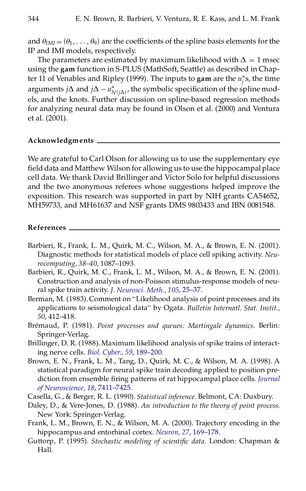and  $\theta_{IMI} = (\theta_1, \ldots, \theta_9)$  are the coefficients of the spline basis elements for the IP and IMI models, respectively.

The parameters are estimated by maximum likelihood with  $\Delta = 1$  msec using the **gam** function in S-PLUS (MathSoft, Seattle) as described in Chapter 11 of Venables and Ripley (1999). The inputs to  $\mathsf{gam}$  are the  $u_j^\ast$ s, the time arguments *j* $\Delta$  and *j* $\Delta - u^*_{N(j\Delta)}$ , the symbolic specification of the spline models, and the knots. Further discussion on spline-based regression methods for analyzing neural data may be found in Olson et al. (2000) and Ventura et al. (2001).

#### **Acknowledgments**

We are grateful to Carl Olson for allowing us to use the supplementary eye field data and Matthew Wilson for allowing us to use the hippocampal place cell data. We thank David Brillinger and Victor Solo for helpful discussions and the two anonymous referees whose suggestions helped improve the exposition. This research was supported in part by NIH grants CA54652, MH59733, and MH61637 and NSF grants DMS 9803433 and IBN 0081548.

### **References**

- Barbieri, R., Frank, L. M., Quirk, M. C., Wilson, M. A., & Brown, E. N. (2001). Diagnostic methods for statistical models of place cell spiking activity. *Neurocomputing, 38–40*, 1087–1093.
- Barbieri, R., Quirk, M. C., Frank, L. M., Wilson, M. A., & Brown, E. N. (2001). Construction and analysis of non-Poisson stimulus-response models of neu ral spike train activity. *J. [Neurosci.](http://www.ingentaselect.com/rpsv/cgi-bin/linker?ext=a&reqidx=/0165-0270^28^29105L.25[aid=1883603]) Meth., 105*, 25–37.
- Berman, M. (1983).Comment on "Likelihood analysis of point processes and its applications to seismological data" by Ogata. *Bulletin Internatl. Stat. Instit., 50*, 412–418.
- Bremaud, Â P. (1981). *Point processes and queues: Martingale dynamics*. Berlin: Springer-Verlag.
- Brillinger, D. R. (1988). Maximum likelihood analysis of spike trains of interacting nerve cells. *Biol. Cyber., 59*, [189–200.](http://www.ingentaselect.com/rpsv/cgi-bin/linker?ext=a&reqidx=/0340-1200^28^2959L.189[aid=1510458])
- Brown, E. N., Frank, L. M., Tang, D., Quirk, M. C., & Wilson, M. A. (1998). A statistical paradigm for neural spike train decoding applied to position prediction from ensemble firing patterns of rat hippocampal place cells. *[Journal](http://www.ingentaselect.com/rpsv/cgi-bin/linker?ext=a&reqidx=/0270-6474^28^2918L.7411[aid=215329]) of [Neuroscience,](http://www.ingentaselect.com/rpsv/cgi-bin/linker?ext=a&reqidx=/0270-6474^28^2918L.7411[aid=215329]) 18*, 7411–7425.
- Casella, G., & Berger, R. L. (1990). *Statistical inference.* Belmont, CA: Duxbury.
- Daley, D., & Vere-Jones, D. (1988). *An introduction to the theory of point process*. New York: Springer-Verlag.
- Frank, L. M., Brown, E. N., & Wilson, M. A. (2000). Trajectory encoding in the hippocampus and entorhinal cortex. *Neuron, 27*, [169–178.](http://www.ingentaselect.com/rpsv/cgi-bin/linker?ext=a&reqidx=/0896-6273^28^2927L.169[aid=1883605])
- Guttorp, P. (1995). *Stochastic modeling of scientic data.* London: Chapman & Hall.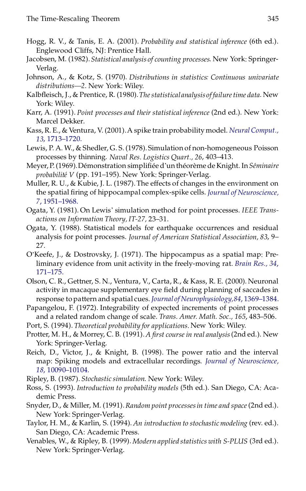- Hogg, R. V., & Tanis, E. A. (2001). *Probability and statistical inference* (6th ed.). Englewood Cliffs, NJ: Prentice Hall.
- Jacobsen, M. (1982).*Statistical analysis of counting processes*. New York: Springer-Verlag.
- Johnson, A., & Kotz, S. (1970). *Distributions in statistics: Continuous univariate distributions—2*. New York: Wiley.
- Kalbfleisch, J., & Prentice, R. (1980). *The statistical analysis of failure time data*. New York: Wiley.
- Karr, A. (1991). *Point processes and their statistical inference* (2nd ed.). New York: Marcel Dekker.
- Kass,R. E., & Ventura, V. (2001).A spike train probability model. *[NeuralComput.,](http://www.ingentaselect.com/rpsv/cgi-bin/linker?ext=a&reqidx=/0899-7667^28^2913L.1713[aid=1883606]) 13*, [1713–1720.](http://www.ingentaselect.com/rpsv/cgi-bin/linker?ext=a&reqidx=/0899-7667^28^2913L.1713[aid=1883606])
- Lewis, P. A. W., & Shedler, G. S. (1978). Simulation of non-homogeneous Poisson processes by thinning. *Naval Res. Logistics Quart., 26*, 403–413.
- Meyer, P. (1969). Démonstration simplifiée d'un théorème de Knight. In Séminaire *probabiliteÂ V* (pp. 191–195). New York: Springer-Verlag.
- Muller, R. U., & Kubie, J. L. (1987).The effects of changes in the environment on the spatial ring of hippocampal complex-spike cells. *Journal of [Neuroscience,](http://www.ingentaselect.com/rpsv/cgi-bin/linker?ext=a&reqidx=/0270-6474^28^297L.1951[aid=215366]) 7*, [1951–1968.](http://www.ingentaselect.com/rpsv/cgi-bin/linker?ext=a&reqidx=/0270-6474^28^297L.1951[aid=215366])
- Ogata, Y. (1981). On Lewis' simulation method for point processes. *IEEE Trans actions on Information Theory, IT-27,* 23–31.
- Ogata, Y. (1988). Statistical models for earthquake occurrences and residual analysis for point processes. *Journal of American Statistical Association, 83*, 9– 27.
- O'Keefe, J., & Dostrovsky, J. (1971). The hippocampus as a spatial map: Preliminary evidence from unit activity in the freely-moving rat. *[Brain](http://www.ingentaselect.com/rpsv/cgi-bin/linker?ext=a&reqidx=/0006-8993^28^2934L.171[aid=215374]) Res., 34*, [171–175.](http://www.ingentaselect.com/rpsv/cgi-bin/linker?ext=a&reqidx=/0006-8993^28^2934L.171[aid=215374])
- Olson, C. R., Gettner, S. N., Ventura, V., Carta, R., & Kass, R. E. (2000). Neuronal activity in macaque supplementary eye field during planning of saccades in response to pattern and spatial cues. *Journal of [Neurophysiology,84](http://www.ingentaselect.com/rpsv/cgi-bin/linker?ext=a&reqidx=/0022-3077^28^2984L.1369[aid=1510460])*, 1369–1384.
- Papangelou, F. (1972). Integrability of expected increments of point processes and a related random change of scale. *Trans. Amer. Math. Soc., 165*, 483–506.
- Port, S. (1994). *Theoretical probability for applications.* New York: Wiley.
- Protter, M. H., & Morrey, C. B. (1991). A *first course in real analysis* (2nd ed.). New York: Springer-Verlag.
- Reich, D., Victor, J., & Knight, B. (1998). The power ratio and the interval map: Spiking models and extracellular recordings. *Journal of [Neuroscience,](http://www.ingentaselect.com/rpsv/cgi-bin/linker?ext=a&reqidx=/0270-6474^28^2918L.10090[aid=1192852]) 18*, [10090–10104.](http://www.ingentaselect.com/rpsv/cgi-bin/linker?ext=a&reqidx=/0270-6474^28^2918L.10090[aid=1192852])
- Ripley, B. (1987). *Stochastic simulation*. New York: Wiley.
- Ross, S. (1993). *Introduction to probability models* (5th ed.). San Diego, CA: Academic Press.
- Snyder, D., & Miller, M. (1991).*Random point processesin time and space* (2nd ed.). New York: Springer-Verlag.
- Taylor, H. M., & Karlin, S. (1994). *An introduction to stochastic modeling* (rev. ed.). San Diego, CA: Academic Press.
- Venables, W., & Ripley, B. (1999). *Modern applied statistics with S-PLUS* (3rd ed.). New York: Springer-Verlag.